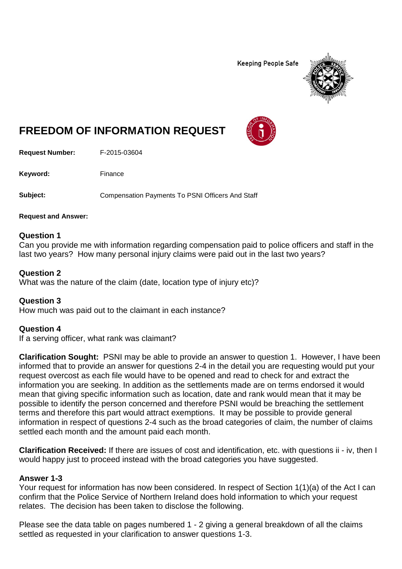**Keeping People Safe** 



# **FREEDOM OF INFORMATION REQUEST**

**Request Number:** F-2015-03604

Keyword: Finance

**Subject:** Compensation Payments To PSNI Officers And Staff

**Request and Answer:**

#### **Question 1**

Can you provide me with information regarding compensation paid to police officers and staff in the last two years? How many personal injury claims were paid out in the last two years?

#### **Question 2**

What was the nature of the claim (date, location type of injury etc)?

#### **Question 3**

How much was paid out to the claimant in each instance?

#### **Question 4**

If a serving officer, what rank was claimant?

**Clarification Sought:** PSNI may be able to provide an answer to question 1. However, I have been informed that to provide an answer for questions 2-4 in the detail you are requesting would put your request overcost as each file would have to be opened and read to check for and extract the information you are seeking. In addition as the settlements made are on terms endorsed it would mean that giving specific information such as location, date and rank would mean that it may be possible to identify the person concerned and therefore PSNI would be breaching the settlement terms and therefore this part would attract exemptions. It may be possible to provide general information in respect of questions 2-4 such as the broad categories of claim, the number of claims settled each month and the amount paid each month.

**Clarification Received:** If there are issues of cost and identification, etc. with questions ii - iv, then I would happy just to proceed instead with the broad categories you have suggested.

#### **Answer 1-3**

Your request for information has now been considered. In respect of Section 1(1)(a) of the Act I can confirm that the Police Service of Northern Ireland does hold information to which your request relates. The decision has been taken to disclose the following.

Please see the data table on pages numbered 1 - 2 giving a general breakdown of all the claims settled as requested in your clarification to answer questions 1-3.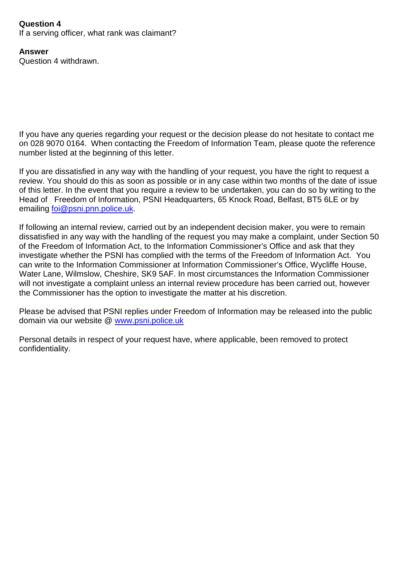## **Question 4**

If a serving officer, what rank was claimant?

**Answer** Question 4 withdrawn.

If you have any queries regarding your request or the decision please do not hesitate to contact me on 028 9070 0164. When contacting the Freedom of Information Team, please quote the reference number listed at the beginning of this letter.

If you are dissatisfied in any way with the handling of your request, you have the right to request a review. You should do this as soon as possible or in any case within two months of the date of issue of this letter. In the event that you require a review to be undertaken, you can do so by writing to the Head of Freedom of Information, PSNI Headquarters, 65 Knock Road, Belfast, BT5 6LE or by emailing [foi@psni.pnn.police.uk.](mailto:foi@psni.pnn.police.uk)

If following an internal review, carried out by an independent decision maker, you were to remain dissatisfied in any way with the handling of the request you may make a complaint, under Section 50 of the Freedom of Information Act, to the Information Commissioner's Office and ask that they investigate whether the PSNI has complied with the terms of the Freedom of Information Act. You can write to the Information Commissioner at Information Commissioner's Office, Wycliffe House, Water Lane, Wilmslow, Cheshire, SK9 5AF. In most circumstances the Information Commissioner will not investigate a complaint unless an internal review procedure has been carried out, however the Commissioner has the option to investigate the matter at his discretion.

Please be advised that PSNI replies under Freedom of Information may be released into the public domain via our website @ [www.psni.police.uk](http://www.psni.police.uk/)

Personal details in respect of your request have, where applicable, been removed to protect confidentiality.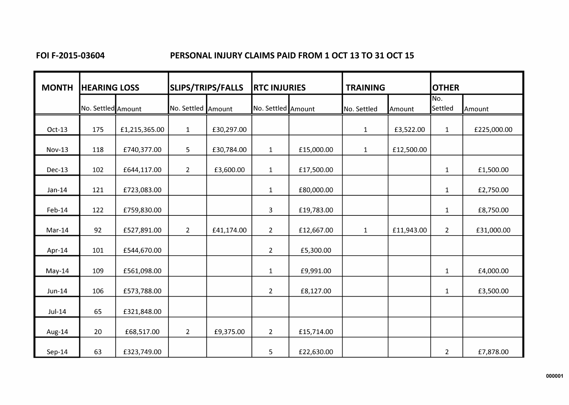## FOI F-2015-03604

# PERSONAL INJURY CLAIMS PAID FROM 1 OCT 13 TO 31 OCT 15

| <b>MONTH</b>  | <b>HEARING LOSS</b> |               | SLIPS/TRIPS/FALLS  |            | <b>RTC INJURIES</b> |            | <b>TRAINING</b> |            | <b>OTHER</b>   |             |
|---------------|---------------------|---------------|--------------------|------------|---------------------|------------|-----------------|------------|----------------|-------------|
|               | No. Settled Amount  |               | No. Settled Amount |            | No. Settled Amount  |            | No. Settled     | Amount     | No.<br>Settled | Amount      |
| Oct-13        | 175                 | £1,215,365.00 | $\mathbf{1}$       | £30,297.00 |                     |            | $\mathbf{1}$    | £3,522.00  | $\mathbf{1}$   | £225,000.00 |
| <b>Nov-13</b> | 118                 | £740,377.00   | 5                  | £30,784.00 | $\mathbf{1}$        | £15,000.00 | $\mathbf 1$     | £12,500.00 |                |             |
| Dec-13        | 102                 | £644,117.00   | $\overline{2}$     | £3,600.00  | $\mathbf{1}$        | £17,500.00 |                 |            | $\mathbf{1}$   | £1,500.00   |
| $Jan-14$      | 121                 | £723,083.00   |                    |            | $\mathbf{1}$        | £80,000.00 |                 |            | $\mathbf{1}$   | £2,750.00   |
| Feb-14        | 122                 | £759,830.00   |                    |            | 3                   | £19,783.00 |                 |            | $\mathbf{1}$   | £8,750.00   |
| Mar-14        | 92                  | £527,891.00   | $\overline{2}$     | £41,174.00 | $\overline{2}$      | £12,667.00 | $\mathbf{1}$    | £11,943.00 | 2 <sup>1</sup> | £31,000.00  |
| Apr-14        | 101                 | £544,670.00   |                    |            | $\overline{2}$      | £5,300.00  |                 |            |                |             |
| May-14        | 109                 | £561,098.00   |                    |            | $\mathbf{1}$        | £9,991.00  |                 |            | $\mathbf{1}$   | £4,000.00   |
| $Jun-14$      | 106                 | £573,788.00   |                    |            | $\overline{2}$      | £8,127.00  |                 |            | $\mathbf{1}$   | £3,500.00   |
| $Jul-14$      | 65                  | £321,848.00   |                    |            |                     |            |                 |            |                |             |
| Aug-14        | 20                  | £68,517.00    | $\overline{2}$     | £9,375.00  | $\overline{2}$      | £15,714.00 |                 |            |                |             |
| Sep-14        | 63                  | £323,749.00   |                    |            | 5                   | £22,630.00 |                 |            | $\overline{2}$ | £7,878.00   |